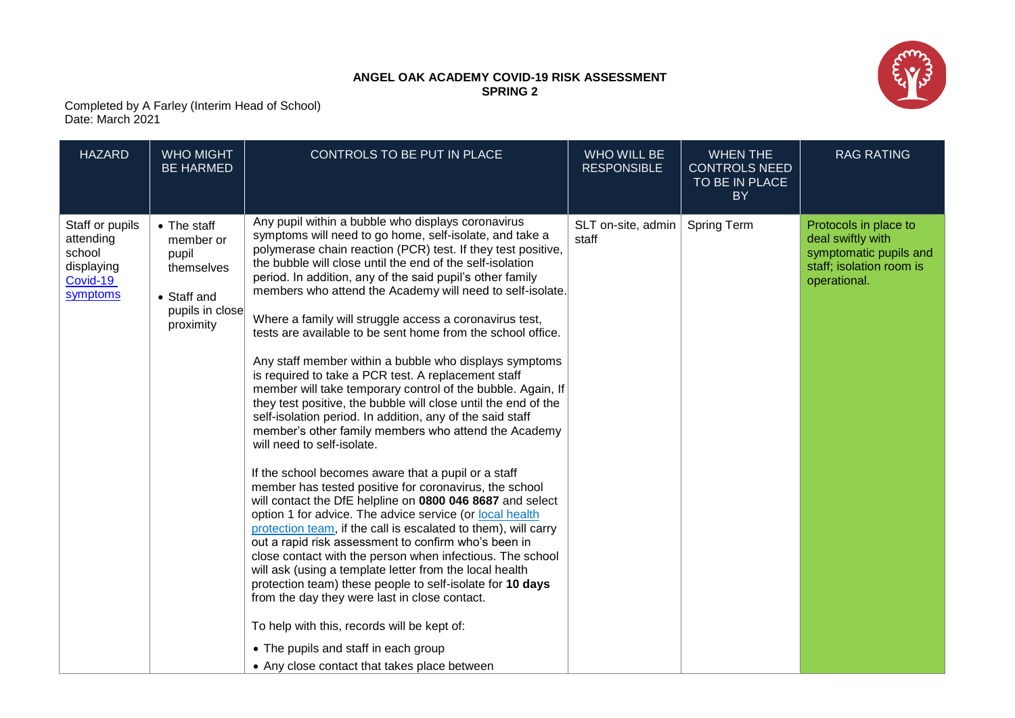## **ANGEL OAK ACADEMY COVID-19 RISK ASSESSMENT SPRING 2**



Completed by A Farley (Interim Head of School) Date: March 2021

| <b>HAZARD</b>                                                                | <b>WHO MIGHT</b><br><b>BE HARMED</b>                                                           | CONTROLS TO BE PUT IN PLACE                                                                                                                                                                                                                                                                                                                                                                                                                                                                                                                                                                                                                                                                                                                                                                                                                                                                                                                                                                                                                                                                                                                                                                                                                                                                                                                                                                                                                                                                                                                                                                                                                          | WHO WILL BE<br><b>RESPONSIBLE</b> | <b>WHEN THE</b><br><b>CONTROLS NEED</b><br>TO BE IN PLACE<br><b>BY</b> | <b>RAG RATING</b>                                                                                                |
|------------------------------------------------------------------------------|------------------------------------------------------------------------------------------------|------------------------------------------------------------------------------------------------------------------------------------------------------------------------------------------------------------------------------------------------------------------------------------------------------------------------------------------------------------------------------------------------------------------------------------------------------------------------------------------------------------------------------------------------------------------------------------------------------------------------------------------------------------------------------------------------------------------------------------------------------------------------------------------------------------------------------------------------------------------------------------------------------------------------------------------------------------------------------------------------------------------------------------------------------------------------------------------------------------------------------------------------------------------------------------------------------------------------------------------------------------------------------------------------------------------------------------------------------------------------------------------------------------------------------------------------------------------------------------------------------------------------------------------------------------------------------------------------------------------------------------------------------|-----------------------------------|------------------------------------------------------------------------|------------------------------------------------------------------------------------------------------------------|
| Staff or pupils<br>attending<br>school<br>displaying<br>Covid-19<br>symptoms | • The staff<br>member or<br>pupil<br>themselves<br>• Staff and<br>pupils in close<br>proximity | Any pupil within a bubble who displays coronavirus<br>symptoms will need to go home, self-isolate, and take a<br>polymerase chain reaction (PCR) test. If they test positive,<br>the bubble will close until the end of the self-isolation<br>period. In addition, any of the said pupil's other family<br>members who attend the Academy will need to self-isolate.<br>Where a family will struggle access a coronavirus test,<br>tests are available to be sent home from the school office.<br>Any staff member within a bubble who displays symptoms<br>is required to take a PCR test. A replacement staff<br>member will take temporary control of the bubble. Again, If<br>they test positive, the bubble will close until the end of the<br>self-isolation period. In addition, any of the said staff<br>member's other family members who attend the Academy<br>will need to self-isolate.<br>If the school becomes aware that a pupil or a staff<br>member has tested positive for coronavirus, the school<br>will contact the DfE helpline on 0800 046 8687 and select<br>option 1 for advice. The advice service (or local health<br>protection team, if the call is escalated to them), will carry<br>out a rapid risk assessment to confirm who's been in<br>close contact with the person when infectious. The school<br>will ask (using a template letter from the local health<br>protection team) these people to self-isolate for 10 days<br>from the day they were last in close contact.<br>To help with this, records will be kept of:<br>• The pupils and staff in each group<br>• Any close contact that takes place between | SLT on-site, admin<br>staff       | <b>Spring Term</b>                                                     | Protocols in place to<br>deal swiftly with<br>symptomatic pupils and<br>staff; isolation room is<br>operational. |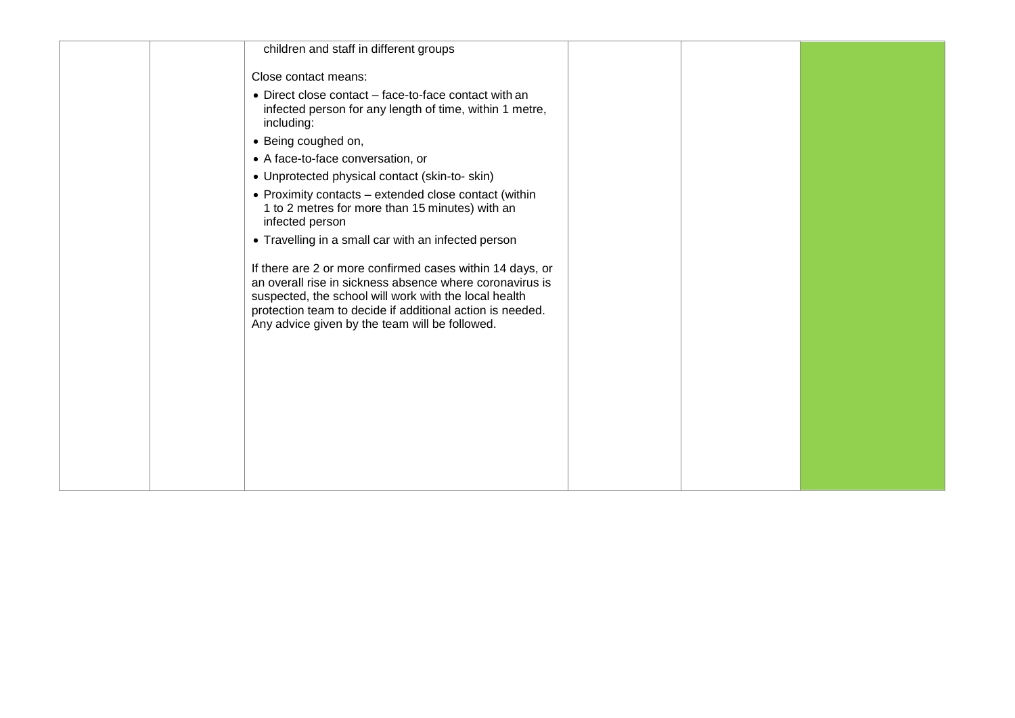|  | children and staff in different groups                                                                                                                                                                                                                                                        |  |  |
|--|-----------------------------------------------------------------------------------------------------------------------------------------------------------------------------------------------------------------------------------------------------------------------------------------------|--|--|
|  | Close contact means:                                                                                                                                                                                                                                                                          |  |  |
|  | • Direct close contact – face-to-face contact with an<br>infected person for any length of time, within 1 metre,<br>including:                                                                                                                                                                |  |  |
|  | • Being coughed on,                                                                                                                                                                                                                                                                           |  |  |
|  | • A face-to-face conversation, or                                                                                                                                                                                                                                                             |  |  |
|  | • Unprotected physical contact (skin-to-skin)                                                                                                                                                                                                                                                 |  |  |
|  | • Proximity contacts – extended close contact (within<br>1 to 2 metres for more than 15 minutes) with an<br>infected person                                                                                                                                                                   |  |  |
|  | • Travelling in a small car with an infected person                                                                                                                                                                                                                                           |  |  |
|  | If there are 2 or more confirmed cases within 14 days, or<br>an overall rise in sickness absence where coronavirus is<br>suspected, the school will work with the local health<br>protection team to decide if additional action is needed.<br>Any advice given by the team will be followed. |  |  |
|  |                                                                                                                                                                                                                                                                                               |  |  |
|  |                                                                                                                                                                                                                                                                                               |  |  |
|  |                                                                                                                                                                                                                                                                                               |  |  |
|  |                                                                                                                                                                                                                                                                                               |  |  |
|  |                                                                                                                                                                                                                                                                                               |  |  |
|  |                                                                                                                                                                                                                                                                                               |  |  |
|  |                                                                                                                                                                                                                                                                                               |  |  |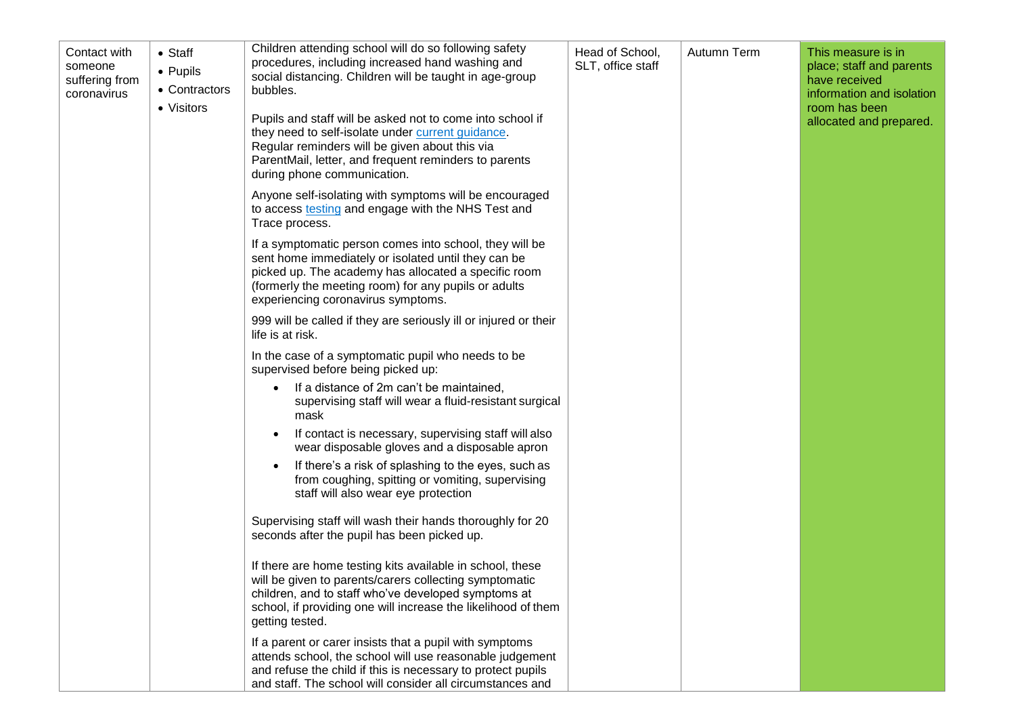| Contact with<br>someone<br>suffering from<br>coronavirus | $\bullet$ Staff<br>$\bullet$ Pupils<br>• Contractors<br>• Visitors | Children attending school will do so following safety<br>procedures, including increased hand washing and<br>social distancing. Children will be taught in age-group<br>bubbles.<br>Pupils and staff will be asked not to come into school if<br>they need to self-isolate under current guidance.<br>Regular reminders will be given about this via<br>ParentMail, letter, and frequent reminders to parents<br>during phone communication. | Head of School,<br>SLT, office staff | Autumn Term | This measure is in<br>place; staff and parents<br>have received<br>information and isolation<br>room has been<br>allocated and prepared. |
|----------------------------------------------------------|--------------------------------------------------------------------|----------------------------------------------------------------------------------------------------------------------------------------------------------------------------------------------------------------------------------------------------------------------------------------------------------------------------------------------------------------------------------------------------------------------------------------------|--------------------------------------|-------------|------------------------------------------------------------------------------------------------------------------------------------------|
|                                                          |                                                                    | Anyone self-isolating with symptoms will be encouraged<br>to access testing and engage with the NHS Test and<br>Trace process.                                                                                                                                                                                                                                                                                                               |                                      |             |                                                                                                                                          |
|                                                          |                                                                    | If a symptomatic person comes into school, they will be<br>sent home immediately or isolated until they can be<br>picked up. The academy has allocated a specific room<br>(formerly the meeting room) for any pupils or adults<br>experiencing coronavirus symptoms.                                                                                                                                                                         |                                      |             |                                                                                                                                          |
|                                                          |                                                                    | 999 will be called if they are seriously ill or injured or their<br>life is at risk.                                                                                                                                                                                                                                                                                                                                                         |                                      |             |                                                                                                                                          |
|                                                          |                                                                    | In the case of a symptomatic pupil who needs to be<br>supervised before being picked up:                                                                                                                                                                                                                                                                                                                                                     |                                      |             |                                                                                                                                          |
|                                                          |                                                                    | If a distance of 2m can't be maintained,<br>supervising staff will wear a fluid-resistant surgical<br>mask                                                                                                                                                                                                                                                                                                                                   |                                      |             |                                                                                                                                          |
|                                                          |                                                                    | If contact is necessary, supervising staff will also<br>٠<br>wear disposable gloves and a disposable apron                                                                                                                                                                                                                                                                                                                                   |                                      |             |                                                                                                                                          |
|                                                          |                                                                    | If there's a risk of splashing to the eyes, such as<br>from coughing, spitting or vomiting, supervising<br>staff will also wear eye protection                                                                                                                                                                                                                                                                                               |                                      |             |                                                                                                                                          |
|                                                          |                                                                    | Supervising staff will wash their hands thoroughly for 20<br>seconds after the pupil has been picked up.                                                                                                                                                                                                                                                                                                                                     |                                      |             |                                                                                                                                          |
|                                                          |                                                                    | If there are home testing kits available in school, these<br>will be given to parents/carers collecting symptomatic<br>children, and to staff who've developed symptoms at<br>school, if providing one will increase the likelihood of them<br>getting tested.                                                                                                                                                                               |                                      |             |                                                                                                                                          |
|                                                          |                                                                    | If a parent or carer insists that a pupil with symptoms<br>attends school, the school will use reasonable judgement<br>and refuse the child if this is necessary to protect pupils<br>and staff. The school will consider all circumstances and                                                                                                                                                                                              |                                      |             |                                                                                                                                          |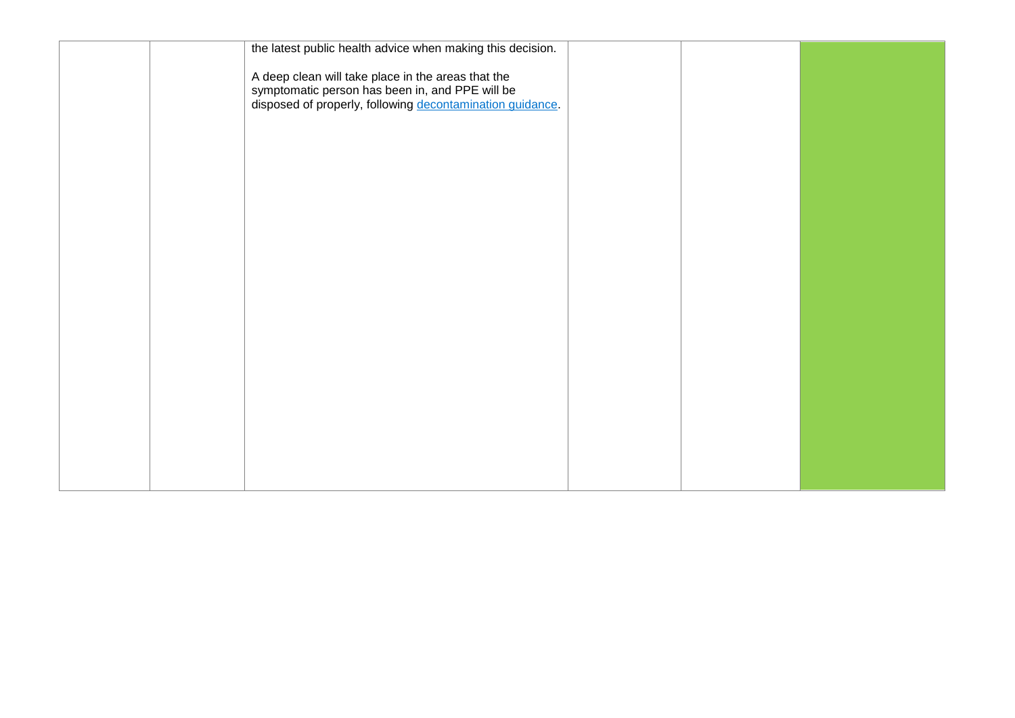|  | the latest public health advice when making this decision.                                                                                                         |  |  |
|--|--------------------------------------------------------------------------------------------------------------------------------------------------------------------|--|--|
|  | A deep clean will take place in the areas that the<br>symptomatic person has been in, and PPE will be<br>disposed of properly, following decontamination guidance. |  |  |
|  |                                                                                                                                                                    |  |  |
|  |                                                                                                                                                                    |  |  |
|  |                                                                                                                                                                    |  |  |
|  |                                                                                                                                                                    |  |  |
|  |                                                                                                                                                                    |  |  |
|  |                                                                                                                                                                    |  |  |
|  |                                                                                                                                                                    |  |  |
|  |                                                                                                                                                                    |  |  |
|  |                                                                                                                                                                    |  |  |
|  |                                                                                                                                                                    |  |  |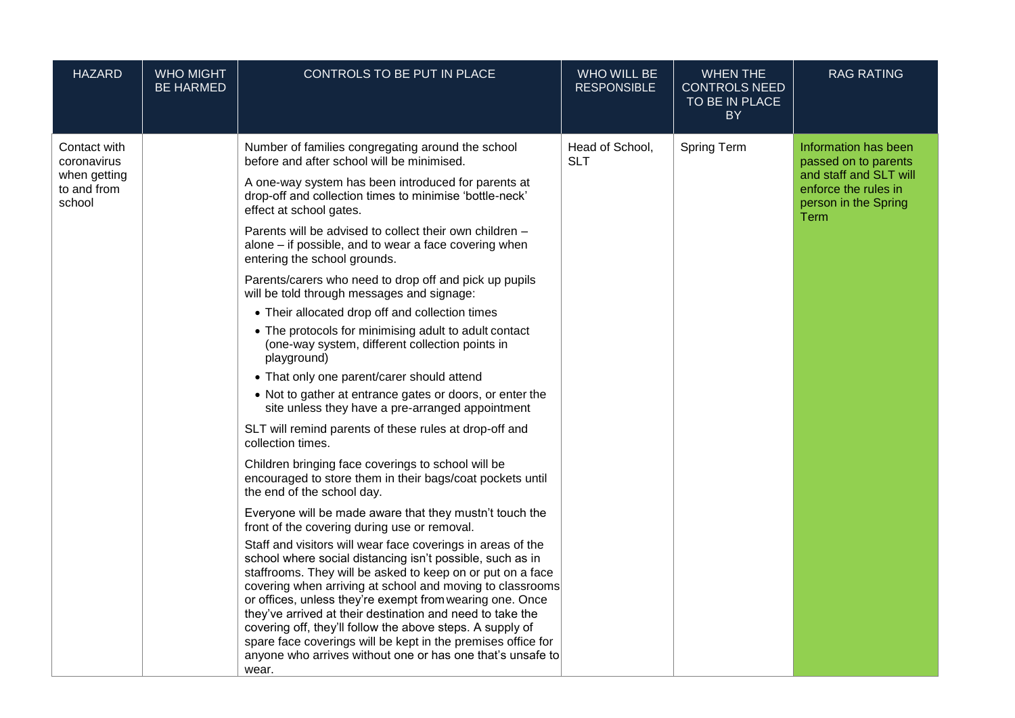| <b>HAZARD</b>                                                        | <b>WHO MIGHT</b><br><b>BE HARMED</b> | CONTROLS TO BE PUT IN PLACE                                                                                                                                                                                                                                                                                                                                                                                                                                                                                                                                                                                                                                                                                                                                                                                                                                                                                                                                                                                                                                                                                                                                                                                                                                                                                                                                                                                                                                                                                                                                                                                                                                                                                                                                                         | WHO WILL BE<br><b>RESPONSIBLE</b> | <b>WHEN THE</b><br><b>CONTROLS NEED</b><br>TO BE IN PLACE<br><b>BY</b> | <b>RAG RATING</b>                                                                                                              |
|----------------------------------------------------------------------|--------------------------------------|-------------------------------------------------------------------------------------------------------------------------------------------------------------------------------------------------------------------------------------------------------------------------------------------------------------------------------------------------------------------------------------------------------------------------------------------------------------------------------------------------------------------------------------------------------------------------------------------------------------------------------------------------------------------------------------------------------------------------------------------------------------------------------------------------------------------------------------------------------------------------------------------------------------------------------------------------------------------------------------------------------------------------------------------------------------------------------------------------------------------------------------------------------------------------------------------------------------------------------------------------------------------------------------------------------------------------------------------------------------------------------------------------------------------------------------------------------------------------------------------------------------------------------------------------------------------------------------------------------------------------------------------------------------------------------------------------------------------------------------------------------------------------------------|-----------------------------------|------------------------------------------------------------------------|--------------------------------------------------------------------------------------------------------------------------------|
| Contact with<br>coronavirus<br>when getting<br>to and from<br>school |                                      | Number of families congregating around the school<br>before and after school will be minimised.<br>A one-way system has been introduced for parents at<br>drop-off and collection times to minimise 'bottle-neck'<br>effect at school gates.<br>Parents will be advised to collect their own children -<br>alone - if possible, and to wear a face covering when<br>entering the school grounds.<br>Parents/carers who need to drop off and pick up pupils<br>will be told through messages and signage:<br>• Their allocated drop off and collection times<br>• The protocols for minimising adult to adult contact<br>(one-way system, different collection points in<br>playground)<br>• That only one parent/carer should attend<br>• Not to gather at entrance gates or doors, or enter the<br>site unless they have a pre-arranged appointment<br>SLT will remind parents of these rules at drop-off and<br>collection times.<br>Children bringing face coverings to school will be<br>encouraged to store them in their bags/coat pockets until<br>the end of the school day.<br>Everyone will be made aware that they mustn't touch the<br>front of the covering during use or removal.<br>Staff and visitors will wear face coverings in areas of the<br>school where social distancing isn't possible, such as in<br>staffrooms. They will be asked to keep on or put on a face<br>covering when arriving at school and moving to classrooms<br>or offices, unless they're exempt from wearing one. Once<br>they've arrived at their destination and need to take the<br>covering off, they'll follow the above steps. A supply of<br>spare face coverings will be kept in the premises office for<br>anyone who arrives without one or has one that's unsafe to<br>wear. | Head of School,<br><b>SLT</b>     | <b>Spring Term</b>                                                     | Information has been<br>passed on to parents<br>and staff and SLT will<br>enforce the rules in<br>person in the Spring<br>Term |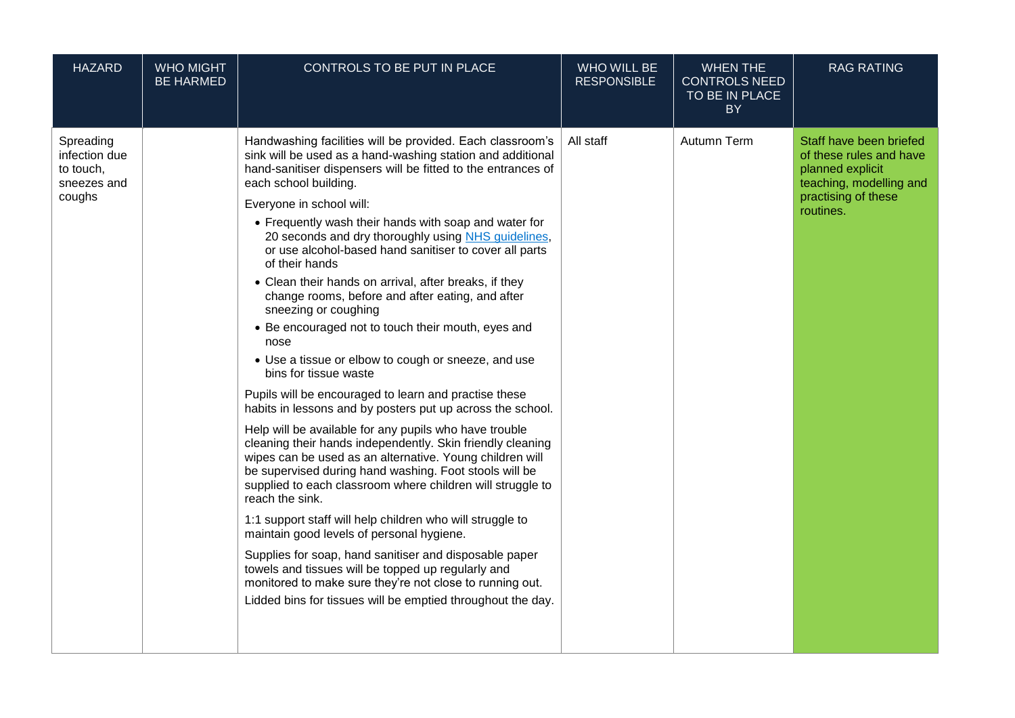| <b>HAZARD</b>                                                    | <b>WHO MIGHT</b><br><b>BE HARMED</b> | CONTROLS TO BE PUT IN PLACE                                                                                                                                                                                                                                                                                                                                                                                                                                                                                                                                                                                                                                                                                                                                                                                                                                                                                                                                                                                                                                                                                                                                                                                                                                                                                                                                                                                                                                                                                                            | <b>WHO WILL BE</b><br><b>RESPONSIBLE</b> | <b>WHEN THE</b><br><b>CONTROLS NEED</b><br>TO BE IN PLACE<br><b>BY</b> | <b>RAG RATING</b>                                                                                                                     |
|------------------------------------------------------------------|--------------------------------------|----------------------------------------------------------------------------------------------------------------------------------------------------------------------------------------------------------------------------------------------------------------------------------------------------------------------------------------------------------------------------------------------------------------------------------------------------------------------------------------------------------------------------------------------------------------------------------------------------------------------------------------------------------------------------------------------------------------------------------------------------------------------------------------------------------------------------------------------------------------------------------------------------------------------------------------------------------------------------------------------------------------------------------------------------------------------------------------------------------------------------------------------------------------------------------------------------------------------------------------------------------------------------------------------------------------------------------------------------------------------------------------------------------------------------------------------------------------------------------------------------------------------------------------|------------------------------------------|------------------------------------------------------------------------|---------------------------------------------------------------------------------------------------------------------------------------|
| Spreading<br>infection due<br>to touch,<br>sneezes and<br>coughs |                                      | Handwashing facilities will be provided. Each classroom's<br>sink will be used as a hand-washing station and additional<br>hand-sanitiser dispensers will be fitted to the entrances of<br>each school building.<br>Everyone in school will:<br>• Frequently wash their hands with soap and water for<br>20 seconds and dry thoroughly using NHS guidelines,<br>or use alcohol-based hand sanitiser to cover all parts<br>of their hands<br>• Clean their hands on arrival, after breaks, if they<br>change rooms, before and after eating, and after<br>sneezing or coughing<br>• Be encouraged not to touch their mouth, eyes and<br>nose<br>• Use a tissue or elbow to cough or sneeze, and use<br>bins for tissue waste<br>Pupils will be encouraged to learn and practise these<br>habits in lessons and by posters put up across the school.<br>Help will be available for any pupils who have trouble<br>cleaning their hands independently. Skin friendly cleaning<br>wipes can be used as an alternative. Young children will<br>be supervised during hand washing. Foot stools will be<br>supplied to each classroom where children will struggle to<br>reach the sink.<br>1:1 support staff will help children who will struggle to<br>maintain good levels of personal hygiene.<br>Supplies for soap, hand sanitiser and disposable paper<br>towels and tissues will be topped up regularly and<br>monitored to make sure they're not close to running out.<br>Lidded bins for tissues will be emptied throughout the day. | All staff                                | Autumn Term                                                            | Staff have been briefed<br>of these rules and have<br>planned explicit<br>teaching, modelling and<br>practising of these<br>routines. |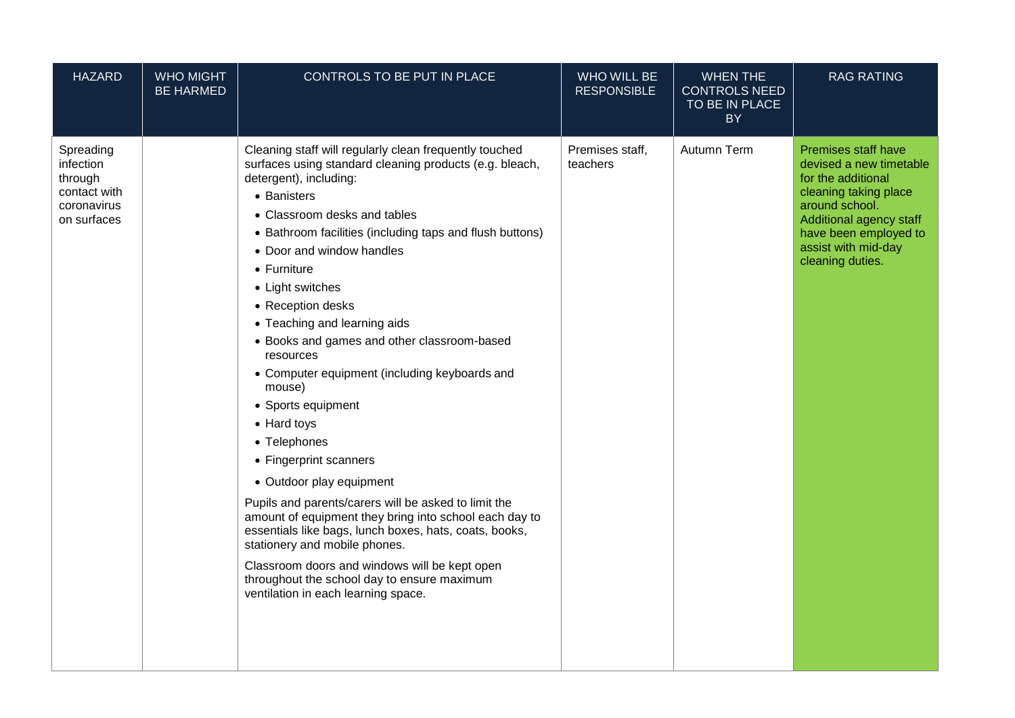| <b>HAZARD</b>                                                                   | <b>WHO MIGHT</b><br><b>BE HARMED</b> | CONTROLS TO BE PUT IN PLACE                                                                                                                                                                                                                                                                                                                                                                                                                                                                                                                                                                                                                                                                                                                                                                                                                                                                                                                                               | WHO WILL BE<br><b>RESPONSIBLE</b> | <b>WHEN THE</b><br><b>CONTROLS NEED</b><br>TO BE IN PLACE<br><b>BY</b> | <b>RAG RATING</b>                                                                                                                                                                                              |
|---------------------------------------------------------------------------------|--------------------------------------|---------------------------------------------------------------------------------------------------------------------------------------------------------------------------------------------------------------------------------------------------------------------------------------------------------------------------------------------------------------------------------------------------------------------------------------------------------------------------------------------------------------------------------------------------------------------------------------------------------------------------------------------------------------------------------------------------------------------------------------------------------------------------------------------------------------------------------------------------------------------------------------------------------------------------------------------------------------------------|-----------------------------------|------------------------------------------------------------------------|----------------------------------------------------------------------------------------------------------------------------------------------------------------------------------------------------------------|
| Spreading<br>infection<br>through<br>contact with<br>coronavirus<br>on surfaces |                                      | Cleaning staff will regularly clean frequently touched<br>surfaces using standard cleaning products (e.g. bleach,<br>detergent), including:<br>• Banisters<br>• Classroom desks and tables<br>• Bathroom facilities (including taps and flush buttons)<br>• Door and window handles<br>$\bullet$ Furniture<br>• Light switches<br>• Reception desks<br>• Teaching and learning aids<br>• Books and games and other classroom-based<br>resources<br>• Computer equipment (including keyboards and<br>mouse)<br>• Sports equipment<br>• Hard toys<br>• Telephones<br>• Fingerprint scanners<br>• Outdoor play equipment<br>Pupils and parents/carers will be asked to limit the<br>amount of equipment they bring into school each day to<br>essentials like bags, lunch boxes, hats, coats, books,<br>stationery and mobile phones.<br>Classroom doors and windows will be kept open<br>throughout the school day to ensure maximum<br>ventilation in each learning space. | Premises staff,<br>teachers       | Autumn Term                                                            | Premises staff have<br>devised a new timetable<br>for the additional<br>cleaning taking place<br>around school.<br>Additional agency staff<br>have been employed to<br>assist with mid-day<br>cleaning duties. |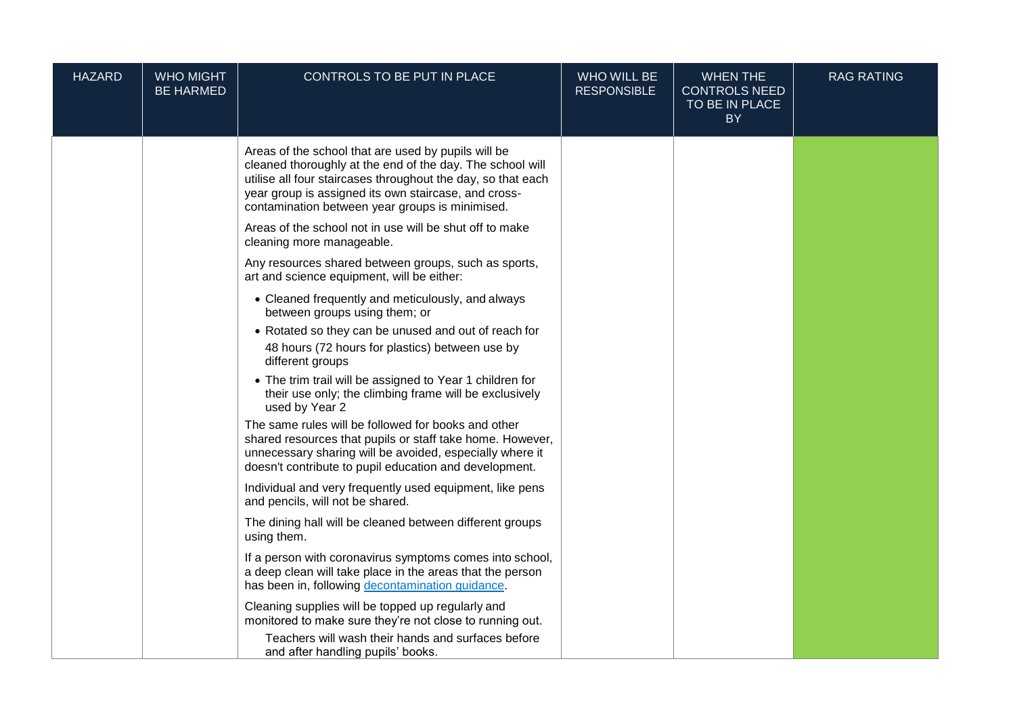| <b>HAZARD</b> | <b>WHO MIGHT</b><br><b>BE HARMED</b> | CONTROLS TO BE PUT IN PLACE                                                                                                                                                                                                                                                                 | <b>WHO WILL BE</b><br><b>RESPONSIBLE</b> | <b>WHEN THE</b><br><b>CONTROLS NEED</b><br>TO BE IN PLACE<br><b>BY</b> | <b>RAG RATING</b> |
|---------------|--------------------------------------|---------------------------------------------------------------------------------------------------------------------------------------------------------------------------------------------------------------------------------------------------------------------------------------------|------------------------------------------|------------------------------------------------------------------------|-------------------|
|               |                                      | Areas of the school that are used by pupils will be<br>cleaned thoroughly at the end of the day. The school will<br>utilise all four staircases throughout the day, so that each<br>year group is assigned its own staircase, and cross-<br>contamination between year groups is minimised. |                                          |                                                                        |                   |
|               |                                      | Areas of the school not in use will be shut off to make<br>cleaning more manageable.                                                                                                                                                                                                        |                                          |                                                                        |                   |
|               |                                      | Any resources shared between groups, such as sports,<br>art and science equipment, will be either:                                                                                                                                                                                          |                                          |                                                                        |                   |
|               |                                      | • Cleaned frequently and meticulously, and always<br>between groups using them; or                                                                                                                                                                                                          |                                          |                                                                        |                   |
|               |                                      | • Rotated so they can be unused and out of reach for<br>48 hours (72 hours for plastics) between use by<br>different groups                                                                                                                                                                 |                                          |                                                                        |                   |
|               |                                      | • The trim trail will be assigned to Year 1 children for<br>their use only; the climbing frame will be exclusively<br>used by Year 2                                                                                                                                                        |                                          |                                                                        |                   |
|               |                                      | The same rules will be followed for books and other<br>shared resources that pupils or staff take home. However,<br>unnecessary sharing will be avoided, especially where it<br>doesn't contribute to pupil education and development.                                                      |                                          |                                                                        |                   |
|               |                                      | Individual and very frequently used equipment, like pens<br>and pencils, will not be shared.                                                                                                                                                                                                |                                          |                                                                        |                   |
|               |                                      | The dining hall will be cleaned between different groups<br>using them.                                                                                                                                                                                                                     |                                          |                                                                        |                   |
|               |                                      | If a person with coronavirus symptoms comes into school,<br>a deep clean will take place in the areas that the person<br>has been in, following decontamination guidance.                                                                                                                   |                                          |                                                                        |                   |
|               |                                      | Cleaning supplies will be topped up regularly and<br>monitored to make sure they're not close to running out.                                                                                                                                                                               |                                          |                                                                        |                   |
|               |                                      | Teachers will wash their hands and surfaces before<br>and after handling pupils' books.                                                                                                                                                                                                     |                                          |                                                                        |                   |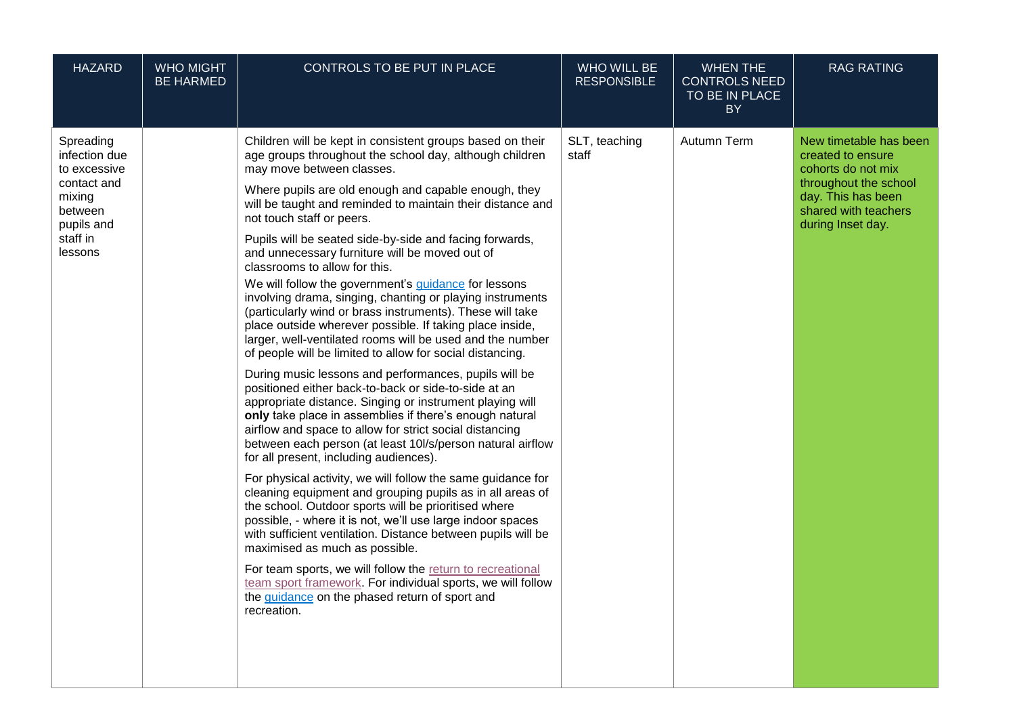| <b>HAZARD</b>                                                                                                       | <b>WHO MIGHT</b><br><b>BE HARMED</b> | CONTROLS TO BE PUT IN PLACE                                                                                                                                                                                                                                                                                                                                                                                                                                                                                                                                                                                                                                                                                                                                                                                                                                                                                                                                                                                                                                                                                                                                                                                                                                                                                                                                                                                                                                                                                                                                                                                                                                                                                                                                                             | WHO WILL BE<br><b>RESPONSIBLE</b> | <b>WHEN THE</b><br><b>CONTROLS NEED</b><br>TO BE IN PLACE<br><b>BY</b> | <b>RAG RATING</b>                                                                                                                                             |
|---------------------------------------------------------------------------------------------------------------------|--------------------------------------|-----------------------------------------------------------------------------------------------------------------------------------------------------------------------------------------------------------------------------------------------------------------------------------------------------------------------------------------------------------------------------------------------------------------------------------------------------------------------------------------------------------------------------------------------------------------------------------------------------------------------------------------------------------------------------------------------------------------------------------------------------------------------------------------------------------------------------------------------------------------------------------------------------------------------------------------------------------------------------------------------------------------------------------------------------------------------------------------------------------------------------------------------------------------------------------------------------------------------------------------------------------------------------------------------------------------------------------------------------------------------------------------------------------------------------------------------------------------------------------------------------------------------------------------------------------------------------------------------------------------------------------------------------------------------------------------------------------------------------------------------------------------------------------------|-----------------------------------|------------------------------------------------------------------------|---------------------------------------------------------------------------------------------------------------------------------------------------------------|
| Spreading<br>infection due<br>to excessive<br>contact and<br>mixing<br>between<br>pupils and<br>staff in<br>lessons |                                      | Children will be kept in consistent groups based on their<br>age groups throughout the school day, although children<br>may move between classes.<br>Where pupils are old enough and capable enough, they<br>will be taught and reminded to maintain their distance and<br>not touch staff or peers.<br>Pupils will be seated side-by-side and facing forwards,<br>and unnecessary furniture will be moved out of<br>classrooms to allow for this.<br>We will follow the government's guidance for lessons<br>involving drama, singing, chanting or playing instruments<br>(particularly wind or brass instruments). These will take<br>place outside wherever possible. If taking place inside,<br>larger, well-ventilated rooms will be used and the number<br>of people will be limited to allow for social distancing.<br>During music lessons and performances, pupils will be<br>positioned either back-to-back or side-to-side at an<br>appropriate distance. Singing or instrument playing will<br>only take place in assemblies if there's enough natural<br>airflow and space to allow for strict social distancing<br>between each person (at least 10l/s/person natural airflow<br>for all present, including audiences).<br>For physical activity, we will follow the same guidance for<br>cleaning equipment and grouping pupils as in all areas of<br>the school. Outdoor sports will be prioritised where<br>possible, - where it is not, we'll use large indoor spaces<br>with sufficient ventilation. Distance between pupils will be<br>maximised as much as possible.<br>For team sports, we will follow the return to recreational<br>team sport framework. For individual sports, we will follow<br>the guidance on the phased return of sport and<br>recreation. | SLT, teaching<br>staff            | Autumn Term                                                            | New timetable has been<br>created to ensure<br>cohorts do not mix<br>throughout the school<br>day. This has been<br>shared with teachers<br>during Inset day. |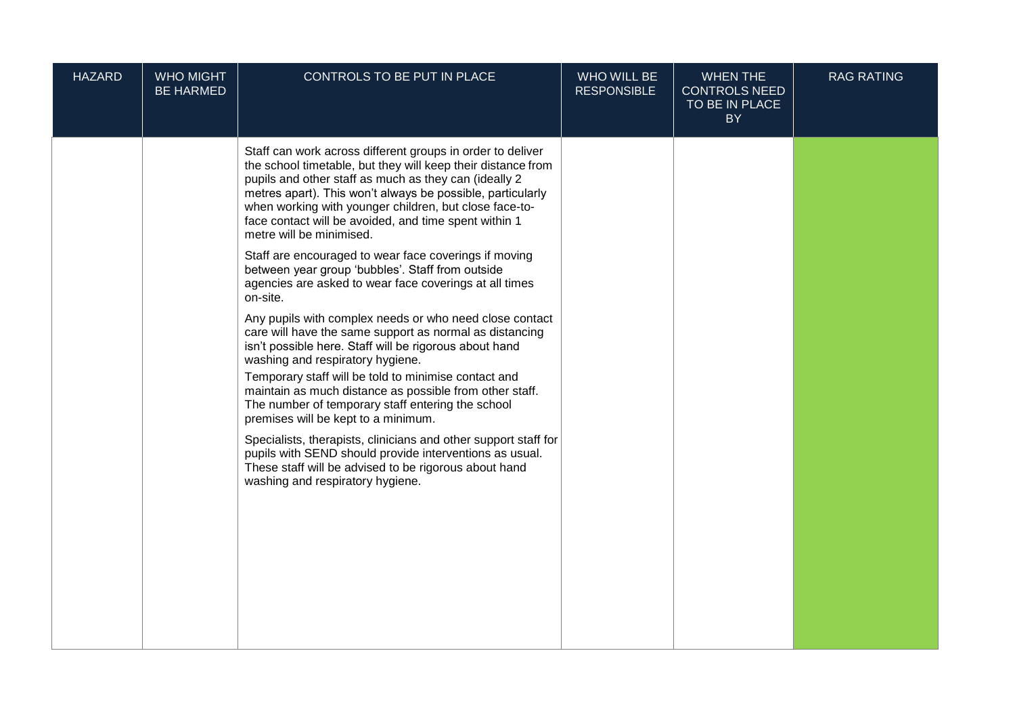| <b>HAZARD</b> | <b>WHO MIGHT</b><br><b>BE HARMED</b> | CONTROLS TO BE PUT IN PLACE                                                                                                                                                                                                                                                                                                                                                                                                     | WHO WILL BE<br><b>RESPONSIBLE</b> | <b>WHEN THE</b><br><b>CONTROLS NEED</b><br>TO BE IN PLACE<br><b>BY</b> | <b>RAG RATING</b> |
|---------------|--------------------------------------|---------------------------------------------------------------------------------------------------------------------------------------------------------------------------------------------------------------------------------------------------------------------------------------------------------------------------------------------------------------------------------------------------------------------------------|-----------------------------------|------------------------------------------------------------------------|-------------------|
|               |                                      | Staff can work across different groups in order to deliver<br>the school timetable, but they will keep their distance from<br>pupils and other staff as much as they can (ideally 2<br>metres apart). This won't always be possible, particularly<br>when working with younger children, but close face-to-<br>face contact will be avoided, and time spent within 1<br>metre will be minimised.                                |                                   |                                                                        |                   |
|               |                                      | Staff are encouraged to wear face coverings if moving<br>between year group 'bubbles'. Staff from outside<br>agencies are asked to wear face coverings at all times<br>on-site.                                                                                                                                                                                                                                                 |                                   |                                                                        |                   |
|               |                                      | Any pupils with complex needs or who need close contact<br>care will have the same support as normal as distancing<br>isn't possible here. Staff will be rigorous about hand<br>washing and respiratory hygiene.<br>Temporary staff will be told to minimise contact and<br>maintain as much distance as possible from other staff.<br>The number of temporary staff entering the school<br>premises will be kept to a minimum. |                                   |                                                                        |                   |
|               |                                      | Specialists, therapists, clinicians and other support staff for<br>pupils with SEND should provide interventions as usual.<br>These staff will be advised to be rigorous about hand<br>washing and respiratory hygiene.                                                                                                                                                                                                         |                                   |                                                                        |                   |
|               |                                      |                                                                                                                                                                                                                                                                                                                                                                                                                                 |                                   |                                                                        |                   |
|               |                                      |                                                                                                                                                                                                                                                                                                                                                                                                                                 |                                   |                                                                        |                   |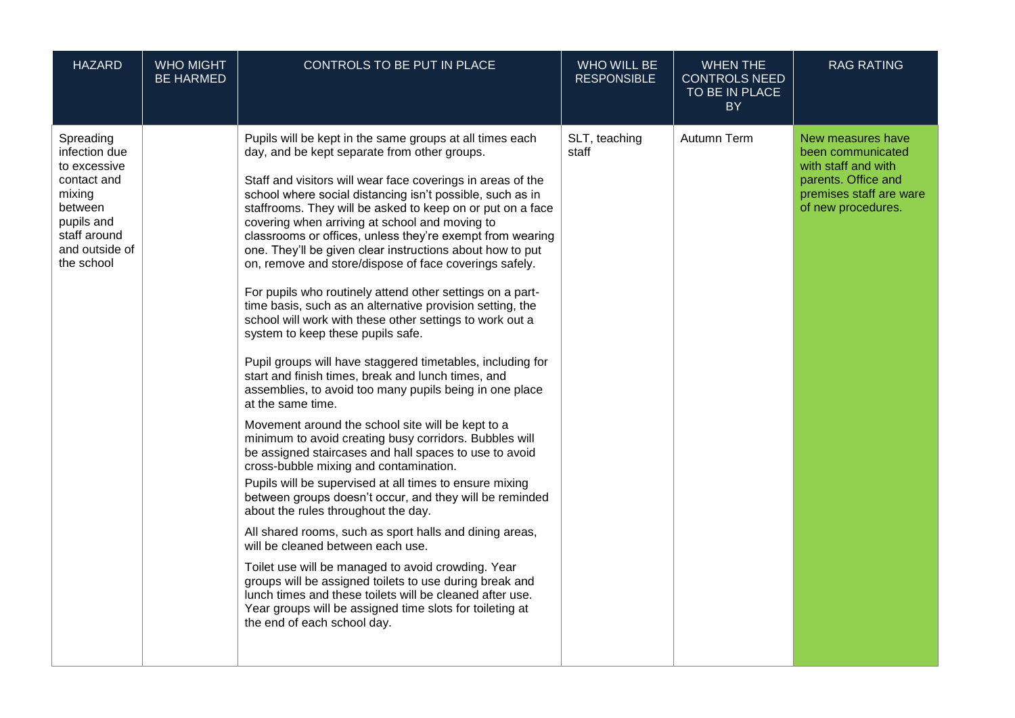| <b>HAZARD</b>                                                                                                                                | <b>WHO MIGHT</b><br><b>BE HARMED</b> | CONTROLS TO BE PUT IN PLACE                                                                                                                                                                                                                                                                                                                                                                                                                                                                                                                                                                                                                                                                                                                                                                                                                                                                                                                                                                                                                                                                                                                                                                                                                                                                                                                                                                                                                                                                                                                                                                                                                                                                                                     | <b>WHO WILL BE</b><br><b>RESPONSIBLE</b> | <b>WHEN THE</b><br><b>CONTROLS NEED</b><br>TO BE IN PLACE<br><b>BY</b> | <b>RAG RATING</b>                                                                                                                     |
|----------------------------------------------------------------------------------------------------------------------------------------------|--------------------------------------|---------------------------------------------------------------------------------------------------------------------------------------------------------------------------------------------------------------------------------------------------------------------------------------------------------------------------------------------------------------------------------------------------------------------------------------------------------------------------------------------------------------------------------------------------------------------------------------------------------------------------------------------------------------------------------------------------------------------------------------------------------------------------------------------------------------------------------------------------------------------------------------------------------------------------------------------------------------------------------------------------------------------------------------------------------------------------------------------------------------------------------------------------------------------------------------------------------------------------------------------------------------------------------------------------------------------------------------------------------------------------------------------------------------------------------------------------------------------------------------------------------------------------------------------------------------------------------------------------------------------------------------------------------------------------------------------------------------------------------|------------------------------------------|------------------------------------------------------------------------|---------------------------------------------------------------------------------------------------------------------------------------|
| Spreading<br>infection due<br>to excessive<br>contact and<br>mixing<br>between<br>pupils and<br>staff around<br>and outside of<br>the school |                                      | Pupils will be kept in the same groups at all times each<br>day, and be kept separate from other groups.<br>Staff and visitors will wear face coverings in areas of the<br>school where social distancing isn't possible, such as in<br>staffrooms. They will be asked to keep on or put on a face<br>covering when arriving at school and moving to<br>classrooms or offices, unless they're exempt from wearing<br>one. They'll be given clear instructions about how to put<br>on, remove and store/dispose of face coverings safely.<br>For pupils who routinely attend other settings on a part-<br>time basis, such as an alternative provision setting, the<br>school will work with these other settings to work out a<br>system to keep these pupils safe.<br>Pupil groups will have staggered timetables, including for<br>start and finish times, break and lunch times, and<br>assemblies, to avoid too many pupils being in one place<br>at the same time.<br>Movement around the school site will be kept to a<br>minimum to avoid creating busy corridors. Bubbles will<br>be assigned staircases and hall spaces to use to avoid<br>cross-bubble mixing and contamination.<br>Pupils will be supervised at all times to ensure mixing<br>between groups doesn't occur, and they will be reminded<br>about the rules throughout the day.<br>All shared rooms, such as sport halls and dining areas,<br>will be cleaned between each use.<br>Toilet use will be managed to avoid crowding. Year<br>groups will be assigned toilets to use during break and<br>lunch times and these toilets will be cleaned after use.<br>Year groups will be assigned time slots for toileting at<br>the end of each school day. | SLT, teaching<br>staff                   | Autumn Term                                                            | New measures have<br>been communicated<br>with staff and with<br>parents. Office and<br>premises staff are ware<br>of new procedures. |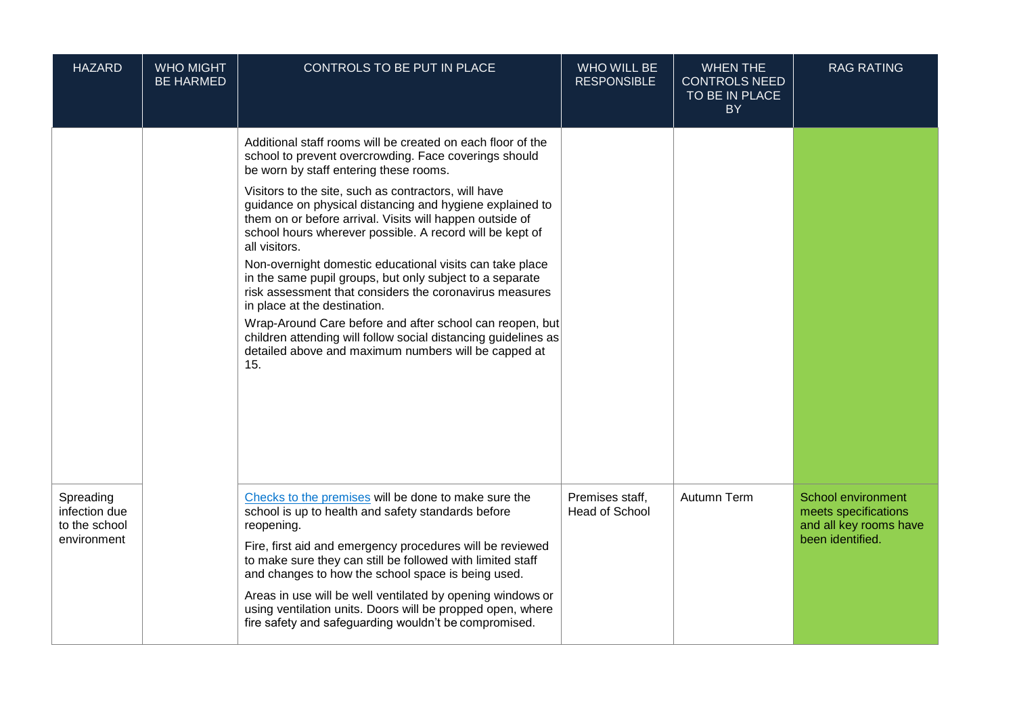| <b>HAZARD</b>                                              | <b>WHO MIGHT</b><br><b>BE HARMED</b> | CONTROLS TO BE PUT IN PLACE                                                                                                                                                                                                                                                                                                                                                                                                                                                                                                                                                                                                                                                                                                                                                                                                                 | WHO WILL BE<br><b>RESPONSIBLE</b>        | <b>WHEN THE</b><br><b>CONTROLS NEED</b><br>TO BE IN PLACE<br><b>BY</b> | <b>RAG RATING</b>                                                                        |
|------------------------------------------------------------|--------------------------------------|---------------------------------------------------------------------------------------------------------------------------------------------------------------------------------------------------------------------------------------------------------------------------------------------------------------------------------------------------------------------------------------------------------------------------------------------------------------------------------------------------------------------------------------------------------------------------------------------------------------------------------------------------------------------------------------------------------------------------------------------------------------------------------------------------------------------------------------------|------------------------------------------|------------------------------------------------------------------------|------------------------------------------------------------------------------------------|
|                                                            |                                      | Additional staff rooms will be created on each floor of the<br>school to prevent overcrowding. Face coverings should<br>be worn by staff entering these rooms.<br>Visitors to the site, such as contractors, will have<br>guidance on physical distancing and hygiene explained to<br>them on or before arrival. Visits will happen outside of<br>school hours wherever possible. A record will be kept of<br>all visitors.<br>Non-overnight domestic educational visits can take place<br>in the same pupil groups, but only subject to a separate<br>risk assessment that considers the coronavirus measures<br>in place at the destination.<br>Wrap-Around Care before and after school can reopen, but<br>children attending will follow social distancing guidelines as<br>detailed above and maximum numbers will be capped at<br>15. |                                          |                                                                        |                                                                                          |
| Spreading<br>infection due<br>to the school<br>environment |                                      | Checks to the premises will be done to make sure the<br>school is up to health and safety standards before<br>reopening.<br>Fire, first aid and emergency procedures will be reviewed<br>to make sure they can still be followed with limited staff<br>and changes to how the school space is being used.<br>Areas in use will be well ventilated by opening windows or<br>using ventilation units. Doors will be propped open, where<br>fire safety and safeguarding wouldn't be compromised.                                                                                                                                                                                                                                                                                                                                              | Premises staff.<br><b>Head of School</b> | Autumn Term                                                            | School environment<br>meets specifications<br>and all key rooms have<br>been identified. |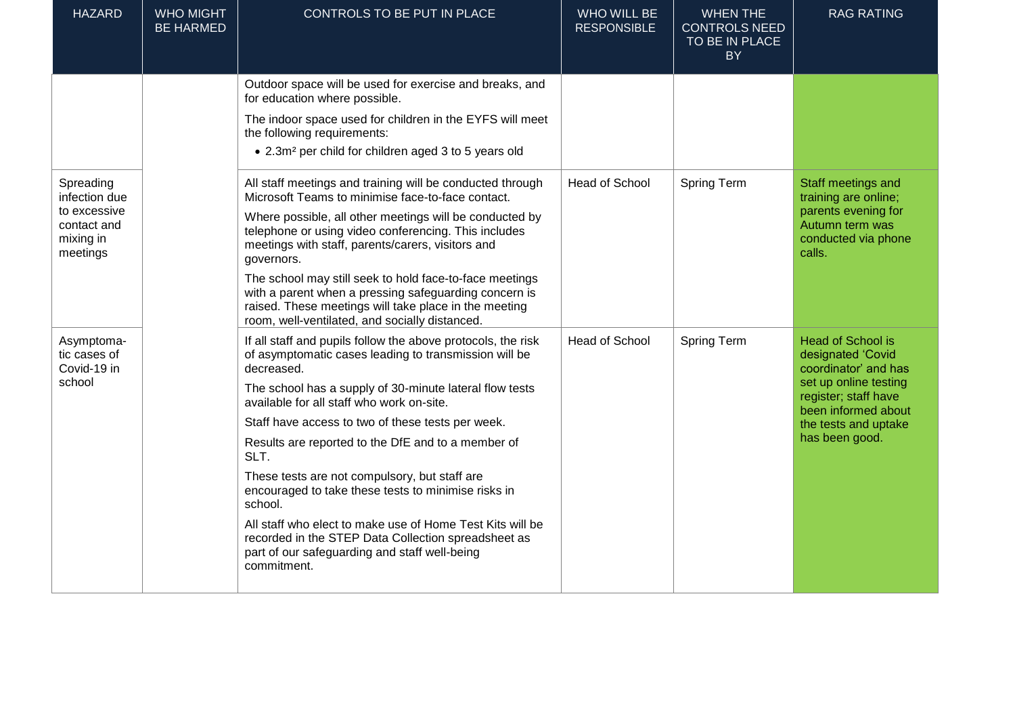| <b>HAZARD</b>                                                                      | <b>WHO MIGHT</b><br><b>BE HARMED</b> | CONTROLS TO BE PUT IN PLACE                                                                                                                                                                                                 | <b>WHO WILL BE</b><br><b>RESPONSIBLE</b> | <b>WHEN THE</b><br><b>CONTROLS NEED</b><br>TO BE IN PLACE<br><b>BY</b> | <b>RAG RATING</b>                                                                                                                                                                       |
|------------------------------------------------------------------------------------|--------------------------------------|-----------------------------------------------------------------------------------------------------------------------------------------------------------------------------------------------------------------------------|------------------------------------------|------------------------------------------------------------------------|-----------------------------------------------------------------------------------------------------------------------------------------------------------------------------------------|
|                                                                                    |                                      | Outdoor space will be used for exercise and breaks, and<br>for education where possible.                                                                                                                                    |                                          |                                                                        |                                                                                                                                                                                         |
|                                                                                    |                                      | The indoor space used for children in the EYFS will meet<br>the following requirements:                                                                                                                                     |                                          |                                                                        |                                                                                                                                                                                         |
|                                                                                    |                                      | • 2.3m <sup>2</sup> per child for children aged 3 to 5 years old                                                                                                                                                            |                                          |                                                                        |                                                                                                                                                                                         |
| Spreading<br>infection due<br>to excessive<br>contact and<br>mixing in<br>meetings |                                      | All staff meetings and training will be conducted through<br>Microsoft Teams to minimise face-to-face contact.                                                                                                              | <b>Head of School</b>                    | Spring Term                                                            | Staff meetings and<br>training are online;<br>parents evening for<br>Autumn term was<br>conducted via phone<br>calls.                                                                   |
|                                                                                    |                                      | Where possible, all other meetings will be conducted by<br>telephone or using video conferencing. This includes<br>meetings with staff, parents/carers, visitors and<br>governors.                                          |                                          |                                                                        |                                                                                                                                                                                         |
|                                                                                    |                                      | The school may still seek to hold face-to-face meetings<br>with a parent when a pressing safeguarding concern is<br>raised. These meetings will take place in the meeting<br>room, well-ventilated, and socially distanced. |                                          |                                                                        |                                                                                                                                                                                         |
| Asymptoma-<br>tic cases of<br>Covid-19 in<br>school                                |                                      | If all staff and pupils follow the above protocols, the risk<br>of asymptomatic cases leading to transmission will be<br>decreased.                                                                                         | <b>Head of School</b>                    | <b>Spring Term</b>                                                     | <b>Head of School is</b><br>designated 'Covid<br>coordinator' and has<br>set up online testing<br>register; staff have<br>been informed about<br>the tests and uptake<br>has been good. |
|                                                                                    |                                      | The school has a supply of 30-minute lateral flow tests<br>available for all staff who work on-site.                                                                                                                        |                                          |                                                                        |                                                                                                                                                                                         |
|                                                                                    |                                      | Staff have access to two of these tests per week.                                                                                                                                                                           |                                          |                                                                        |                                                                                                                                                                                         |
|                                                                                    |                                      | Results are reported to the DfE and to a member of<br>SLT.                                                                                                                                                                  |                                          |                                                                        |                                                                                                                                                                                         |
|                                                                                    |                                      | These tests are not compulsory, but staff are<br>encouraged to take these tests to minimise risks in<br>school.                                                                                                             |                                          |                                                                        |                                                                                                                                                                                         |
|                                                                                    |                                      | All staff who elect to make use of Home Test Kits will be<br>recorded in the STEP Data Collection spreadsheet as<br>part of our safeguarding and staff well-being<br>commitment.                                            |                                          |                                                                        |                                                                                                                                                                                         |